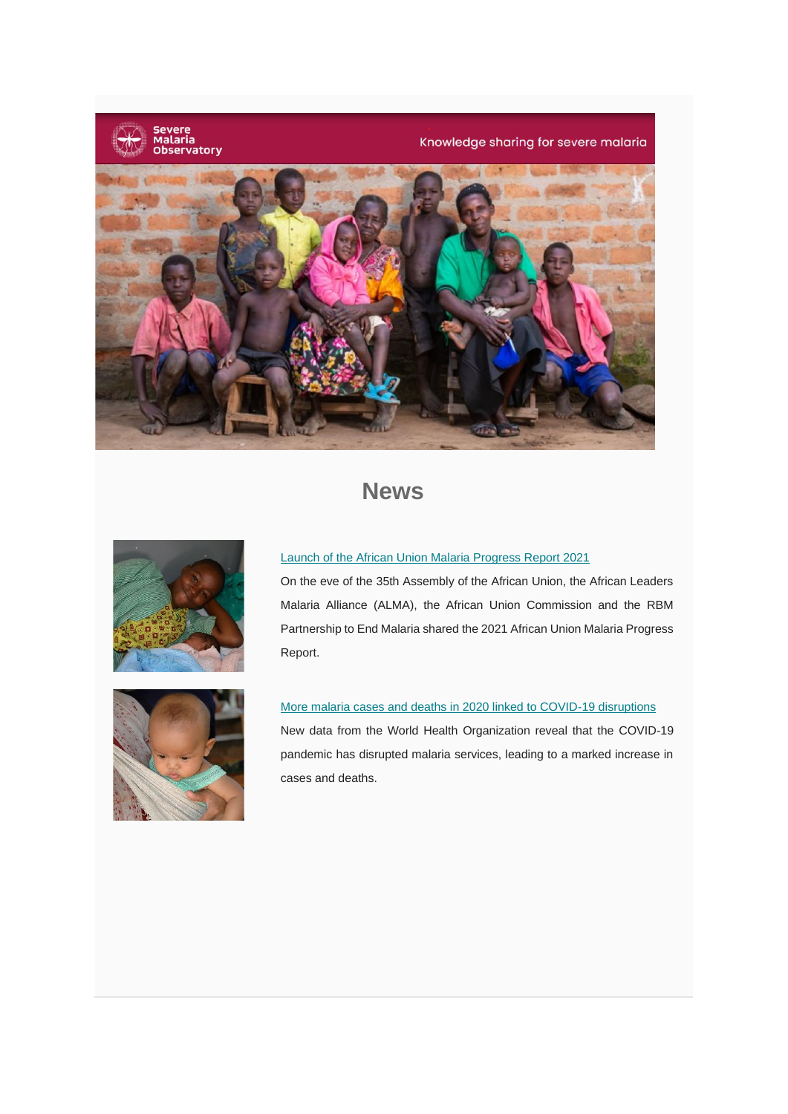

Knowledge sharing for severe malaria



## **News**



### [Launch of the African Union Malaria Progress Report 2021](https://www.severemalaria.org/news/launch-of-the-african-union-malaria-progress-report-2021)

On the eve of the 35th Assembly of the African Union, the African Leaders Malaria Alliance (ALMA), the African Union Commission and the RBM Partnership to End Malaria shared the 2021 African Union Malaria Progress Report.



### [More malaria cases and deaths in 2020 linked to COVID-19 disruptions](https://www.severemalaria.org/news/more-malaria-cases-and-deaths-in-2020-linked-to-covid-19-disruptions)

New data from the World Health Organization reveal that the COVID-19 pandemic has disrupted malaria services, leading to a marked increase in cases and deaths.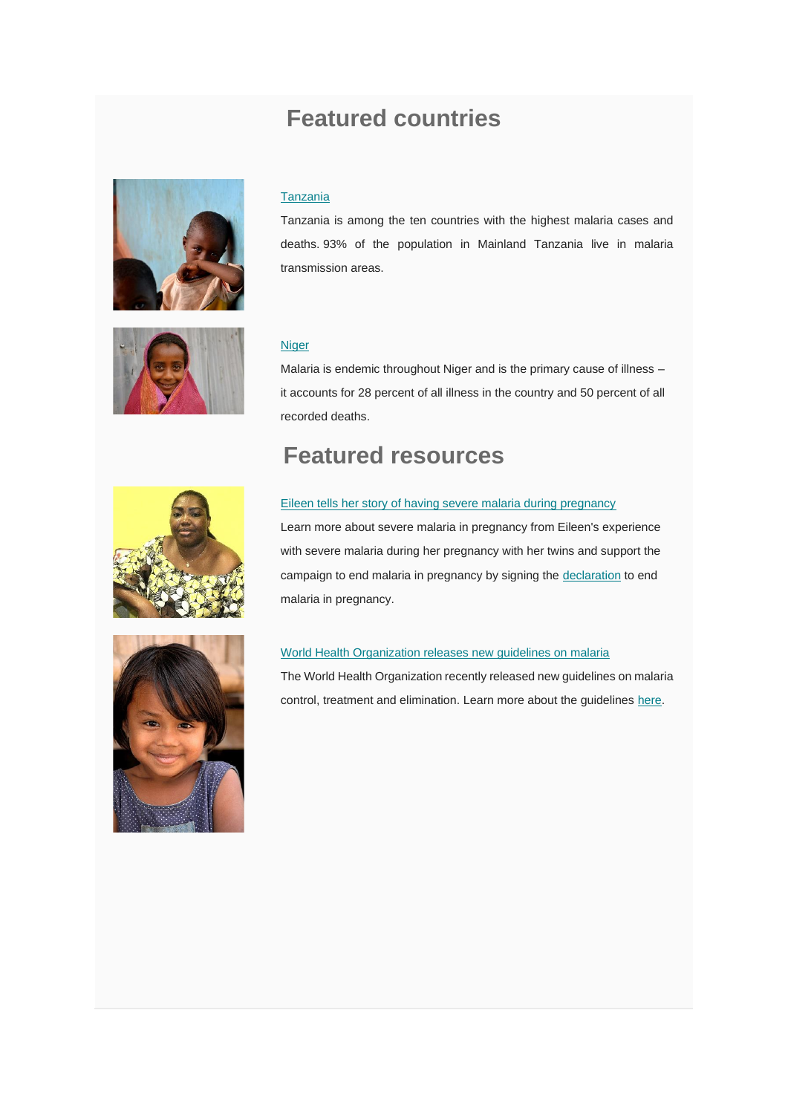# **Featured countries**



### **[Tanzania](https://www.severemalaria.org/countries/tanzania)**

Tanzania is among the ten countries with the highest malaria cases and deaths. 93% of the population in Mainland Tanzania live in malaria transmission areas.



### **[Niger](https://www.severemalaria.org/countries/niger-0)**

Malaria is endemic throughout Niger and is the primary cause of illness – it accounts for 28 percent of all illness in the country and 50 percent of all recorded deaths.

## **Featured resources**



### [Eileen tells her story of having severe malaria during pregnancy](https://www.severemalaria.org/eileens-experience-with-severe-malaria-in-pregnancy)

Learn more about severe malaria in pregnancy from Eileen's experience with severe malaria during her pregnancy with her twins and support the campaign to end malaria in pregnancy by signing the [declaration](https://endmalaria.org/speed-up-scale-up-of-iptp) to end malaria in pregnancy.



#### [World Health Organization releases new guidelines on malaria](https://www.severemalaria.org/resources/new-who-guidelines-on-malaria)

The World Health Organization recently released new guidelines on malaria control, treatment and elimination. Learn more about the guidelines [here.](https://www.severemalaria.org/resources/new-who-guidelines-on-malaria)